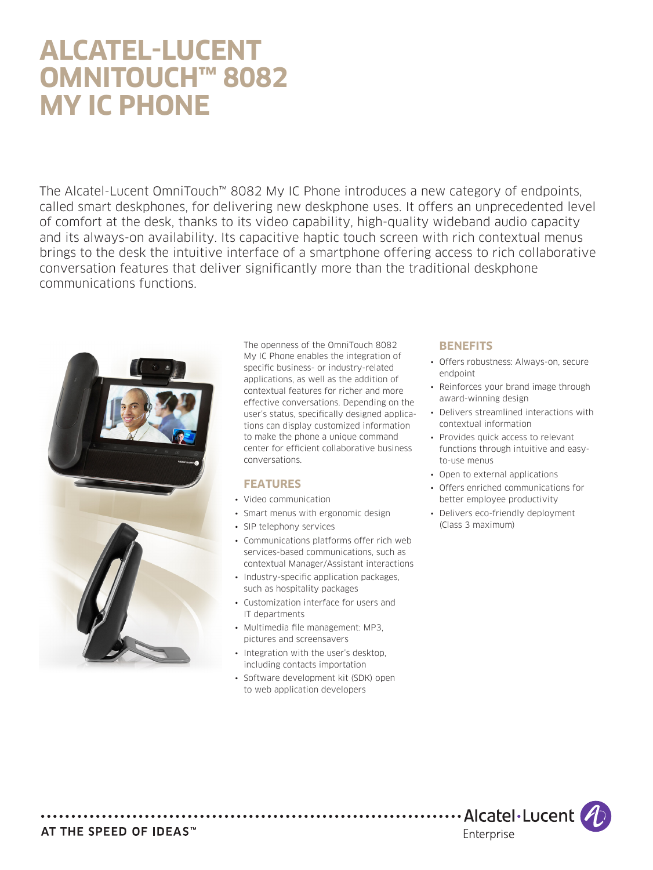# **ALCATEL-LUCENT OMNITOUCH™ 8082 MY IC PHONE**

The Alcatel-Lucent OmniTouch™ 8082 My IC Phone introduces a new category of endpoints, called smart deskphones, for delivering new deskphone uses. It offers an unprecedented level of comfort at the desk, thanks to its video capability, high-quality wideband audio capacity and its always-on availability. Its capacitive haptic touch screen with rich contextual menus brings to the desk the intuitive interface of a smartphone offering access to rich collaborative conversation features that deliver significantly more than the traditional deskphone communications functions.



The openness of the OmniTouch 8082 My IC Phone enables the integration of specific business- or industry-related applications, as well as the addition of contextual features for richer and more effective conversations. Depending on the user's status, specifically designed applications can display customized information to make the phone a unique command center for efficient collaborative business conversations.

#### **FEATURES**

- • Video communication
- Smart menus with ergonomic design
- SIP telephony services
- • Communications platforms offer rich web services-based communications, such as contextual Manager/Assistant interactions
- Industry-specific application packages, such as hospitality packages
- • Customization interface for users and IT departments
- Multimedia file management: MP3, pictures and screensavers
- Integration with the user's desktop, including contacts importation
- Software development kit (SDK) open to web application developers

# **BENEFITS**

- • Offers robustness: Always-on, secure endpoint
- Reinforces your brand image through award-winning design
- Delivers streamlined interactions with contextual information
- Provides quick access to relevant functions through intuitive and easyto-use menus
- • Open to external applications
- • Offers enriched communications for better employee productivity
- Delivers eco-friendly deployment (Class 3 maximum)

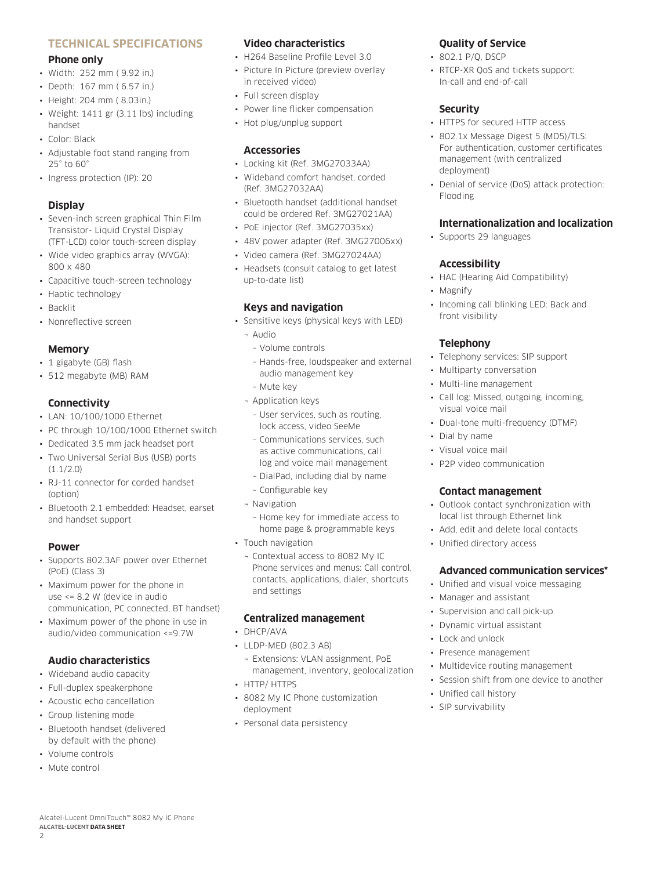## **TECHNICAL SPECIFICATIONS**

#### **Phone only**

- • Width: 252 mm ( 9.92 in.)
- • Depth: 167 mm ( 6.57 in.)
- • Height: 204 mm ( 8.03in.)
- • Weight: 1411 gr (3.11 lbs) including handset
- • Color: Black
- Adjustable foot stand ranging from 25° to 60°
- Ingress protection (IP): 20

# **Display**

- • Seven-inch screen graphical Thin Film Transistor- Liquid Crystal Display (TFT-LCD) color touch-screen display
- Wide video graphics array (WVGA): 800 x 480
- Capacitive touch-screen technology
- Haptic technology
- • Backlit
- • Nonreflective screen

#### **Memory**

- 1 gigabyte (GB) flash
- • 512 megabyte (MB) RAM

#### **Connectivity**

- LAN: 10/100/1000 Ethernet
- PC through 10/100/1000 Ethernet switch
- • Dedicated 3.5 mm jack headset port
- Two Universal Serial Bus (USB) ports (1.1/2.0)
- RJ-11 connector for corded handset (option)
- • Bluetooth 2.1 embedded: Headset, earset and handset support

#### **Power**

- • Supports 802.3AF power over Ethernet (PoE) (Class 3)
- Maximum power for the phone in use <= 8.2 W (device in audio communication, PC connected, BT handset)
- Maximum power of the phone in use in audio/video communication <=9.7W

# **Audio characteristics**

- • Wideband audio capacity
- Full-duplex speakerphone
- • Acoustic echo cancellation
- • Group listening mode
- • Bluetooth handset (delivered by default with the phone)

Alcatel-Lucent OmniTouch™ 8082 My IC Phone

• Volume controls

**ALCATEL-LUCENT DATA SHEET**

• Mute control

 $\overline{2}$ 

# **Video characteristics**

- H264 Baseline Profile Level 3.0
- Picture In Picture (preview overlay in received video)
- • Full screen display
- • Power line flicker compensation
- • Hot plug/unplug support

#### **Accessories**

- • Locking kit (Ref. 3MG27033AA)
- • Wideband comfort handset, corded (Ref. 3MG27032AA)
- • Bluetooth handset (additional handset could be ordered Ref. 3MG27021AA)
- PoE injector (Ref. 3MG27035xx)
- • 48V power adapter (Ref. 3MG27006xx)
- • Video camera (Ref. 3MG27024AA)
- Headsets (consult catalog to get latest up-to-date list)

#### **Keys and navigation**

- • Sensitive keys (physical keys with LED)
	- ¬ Audio
		- Volume controls
		- Hands-free, loudspeaker and external audio management key
		- Mute key
	- ¬ Application keys
		- User services, such as routing, lock access, video SeeMe
		- Communications services, such as active communications, call log and voice mail management
		- DialPad, including dial by name
		- Configurable key
	- ¬ Navigation
	- Home key for immediate access to home page & programmable keys
- Touch navigation
	- ¬ Contextual access to 8082 My IC Phone services and menus: Call control, contacts, applications, dialer, shortcuts and settings

#### **Centralized management**

- • DHCP/AVA
- LLDP-MED (802.3 AB)
- ¬ Extensions: VLAN assignment, PoE management, inventory, geolocalization
- HTTP/ HTTPS
- 8082 My IC Phone customization deployment
- Personal data persistency

# **Quality of Service**

- 802.1 P/O, DSCP
- RTCP-XR OoS and tickets support: In-call and end-of-call

## **Security**

- HTTPS for secured HTTP access
- 802.1x Message Digest 5 (MD5)/TLS: For authentication, customer certificates management (with centralized deployment)
- Denial of service (DoS) attack protection: Flooding

## **Internationalization and localization**

• Supports 29 languages

## **Accessibility**

- HAC (Hearing Aid Compatibility)
- • Magnify
- Incoming call blinking LED: Back and front visibility

## **Telephony**

- Telephony services: SIP support
- • Multiparty conversation
- • Multi-line management
- • Call log: Missed, outgoing, incoming, visual voice mail
- Dual-tone multi-frequency (DTMF)
- • Dial by name
- Visual voice mail
- • P2P video communication

#### **Contact management**

• Outlook contact synchronization with local list through Ethernet link

**Advanced communication services\***

• Add, edit and delete local contacts

• Unified and visual voice messaging

• Multidevice routing management • Session shift from one device to another

• Unified directory access

Manager and assistant • Supervision and call pick-up • Dynamic virtual assistant

• Lock and unlock • Presence management

• Unified call history • SIP survivability